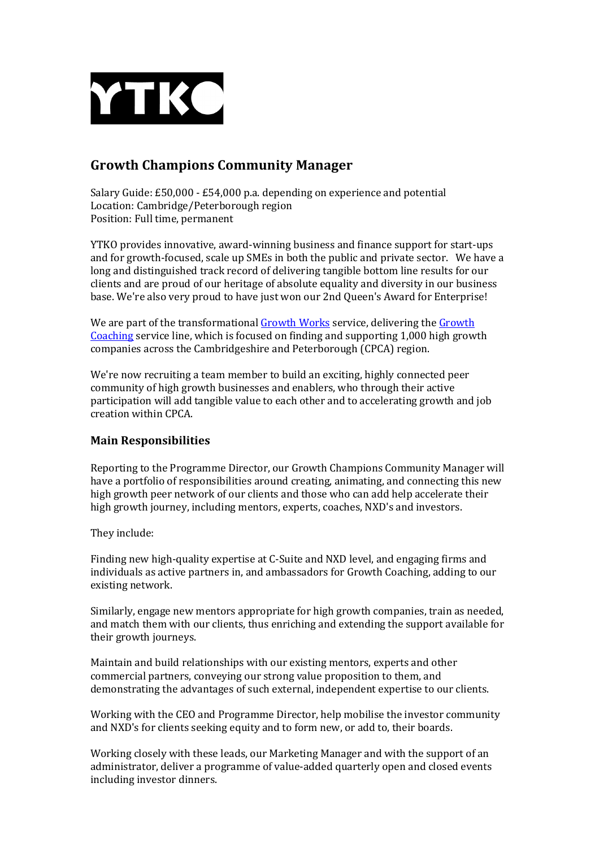

## **Growth Champions Community Manager**

Salary Guide:  $£50,000 - £54,000$  p.a. depending on experience and potential Location: Cambridge/Peterborough region Position: Full time, permanent

YTKO provides innovative, award-winning business and finance support for start-ups and for growth-focused, scale up SMEs in both the public and private sector. We have a long and distinguished track record of delivering tangible bottom line results for our clients and are proud of our heritage of absolute equality and diversity in our business base. We're also very proud to have just won our 2nd Queen's Award for Enterprise!

We are part of the transformational Growth Works service, delivering the Growth Coaching service line, which is focused on finding and supporting 1,000 high growth companies across the Cambridgeshire and Peterborough (CPCA) region.

We're now recruiting a team member to build an exciting, highly connected peer community of high growth businesses and enablers, who through their active participation will add tangible value to each other and to accelerating growth and job creation within CPCA.

## **Main Responsibilities**

Reporting to the Programme Director, our Growth Champions Community Manager will have a portfolio of responsibilities around creating, animating, and connecting this new high growth peer network of our clients and those who can add help accelerate their high growth journey, including mentors, experts, coaches, NXD's and investors.

They include:

Finding new high-quality expertise at C-Suite and NXD level, and engaging firms and individuals as active partners in, and ambassadors for Growth Coaching, adding to our existing network.

Similarly, engage new mentors appropriate for high growth companies, train as needed, and match them with our clients, thus enriching and extending the support available for their growth journeys.

Maintain and build relationships with our existing mentors, experts and other commercial partners, conveying our strong value proposition to them, and demonstrating the advantages of such external, independent expertise to our clients.

Working with the CEO and Programme Director, help mobilise the investor community and NXD's for clients seeking equity and to form new, or add to, their boards.

Working closely with these leads, our Marketing Manager and with the support of an administrator, deliver a programme of value-added quarterly open and closed events including investor dinners.